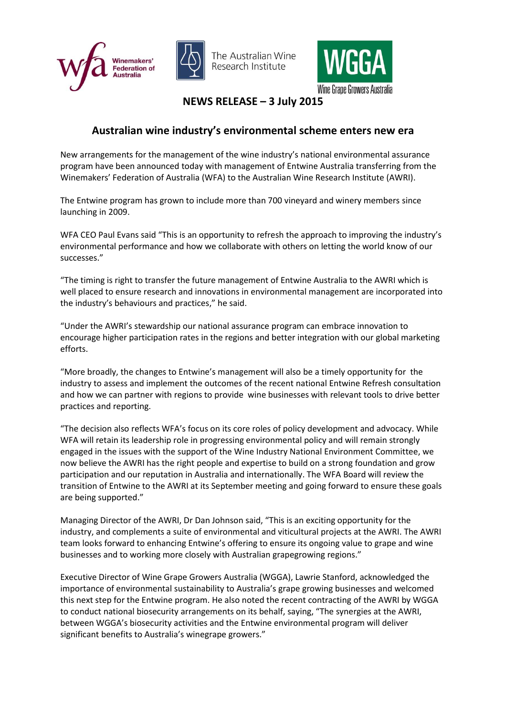





**NEWS RELEASE – 3 July 2015**

## **Australian wine industry's environmental scheme enters new era**

New arrangements for the management of the wine industry's national environmental assurance program have been announced today with management of Entwine Australia transferring from the Winemakers' Federation of Australia (WFA) to the Australian Wine Research Institute (AWRI).

The Entwine program has grown to include more than 700 vineyard and winery members since launching in 2009.

WFA CEO Paul Evans said "This is an opportunity to refresh the approach to improving the industry's environmental performance and how we collaborate with others on letting the world know of our successes."

"The timing is right to transfer the future management of Entwine Australia to the AWRI which is well placed to ensure research and innovations in environmental management are incorporated into the industry's behaviours and practices," he said.

"Under the AWRI's stewardship our national assurance program can embrace innovation to encourage higher participation rates in the regions and better integration with our global marketing efforts.

"More broadly, the changes to Entwine's management will also be a timely opportunity for the industry to assess and implement the outcomes of the recent national Entwine Refresh consultation and how we can partner with regions to provide wine businesses with relevant tools to drive better practices and reporting.

"The decision also reflects WFA's focus on its core roles of policy development and advocacy. While WFA will retain its leadership role in progressing environmental policy and will remain strongly engaged in the issues with the support of the Wine Industry National Environment Committee, we now believe the AWRI has the right people and expertise to build on a strong foundation and grow participation and our reputation in Australia and internationally. The WFA Board will review the transition of Entwine to the AWRI at its September meeting and going forward to ensure these goals are being supported."

Managing Director of the AWRI, Dr Dan Johnson said, "This is an exciting opportunity for the industry, and complements a suite of environmental and viticultural projects at the AWRI. The AWRI team looks forward to enhancing Entwine's offering to ensure its ongoing value to grape and wine businesses and to working more closely with Australian grapegrowing regions."

Executive Director of Wine Grape Growers Australia (WGGA), Lawrie Stanford, acknowledged the importance of environmental sustainability to Australia's grape growing businesses and welcomed this next step for the Entwine program. He also noted the recent contracting of the AWRI by WGGA to conduct national biosecurity arrangements on its behalf, saying, "The synergies at the AWRI, between WGGA's biosecurity activities and the Entwine environmental program will deliver significant benefits to Australia's winegrape growers."